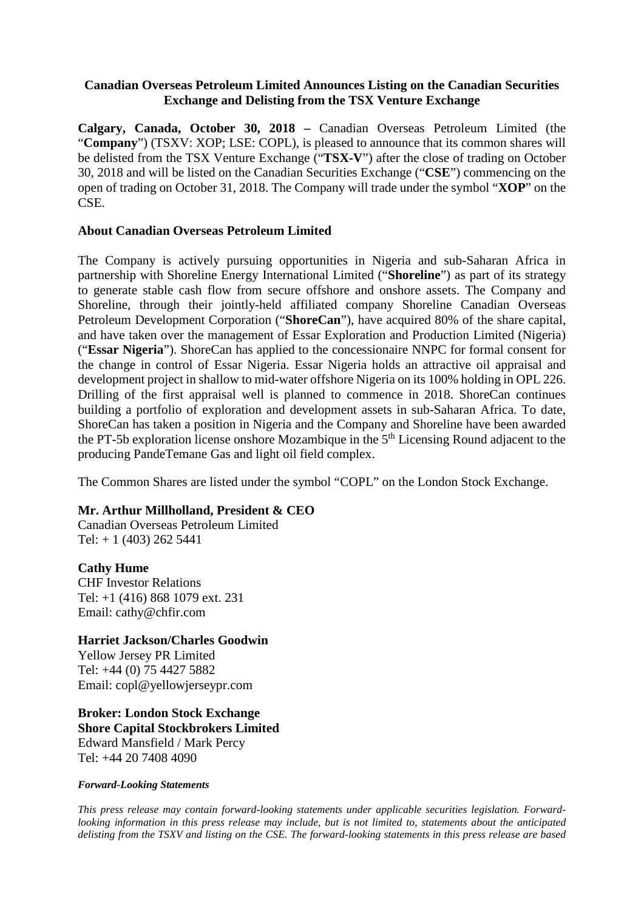#### **Canadian Overseas Petroleum Limited Announces Listing on the Canadian Securities Exchange and Delisting from the TSX Venture Exchange**

**Calgary, Canada, October 30, 2018 –** Canadian Overseas Petroleum Limited (the "**Company**") (TSXV: XOP; LSE: COPL), is pleased to announce that its common shares will be delisted from the TSX Venture Exchange ("**TSX-V**") after the close of trading on October 30, 2018 and will be listed on the Canadian Securities Exchange ("**CSE**") commencing on the open of trading on October 31, 2018. The Company will trade under the symbol "**XOP**" on the CSE.

#### **About Canadian Overseas Petroleum Limited**

The Company is actively pursuing opportunities in Nigeria and sub-Saharan Africa in partnership with Shoreline Energy International Limited ("**Shoreline**") as part of its strategy to generate stable cash flow from secure offshore and onshore assets. The Company and Shoreline, through their jointly-held affiliated company Shoreline Canadian Overseas Petroleum Development Corporation ("**ShoreCan**"), have acquired 80% of the share capital, and have taken over the management of Essar Exploration and Production Limited (Nigeria) ("**Essar Nigeria**"). ShoreCan has applied to the concessionaire NNPC for formal consent for the change in control of Essar Nigeria. Essar Nigeria holds an attractive oil appraisal and development project in shallow to mid-water offshore Nigeria on its 100% holding in OPL 226. Drilling of the first appraisal well is planned to commence in 2018. ShoreCan continues building a portfolio of exploration and development assets in sub-Saharan Africa. To date, ShoreCan has taken a position in Nigeria and the Company and Shoreline have been awarded the PT-5b exploration license onshore Mozambique in the  $5<sup>th</sup>$  Licensing Round adjacent to the producing PandeTemane Gas and light oil field complex.

The Common Shares are listed under the symbol "COPL" on the London Stock Exchange.

# **Mr. Arthur Millholland, President & CEO**

Canadian Overseas Petroleum Limited Tel:  $+ 1$  (403) 262 5441

# **Cathy Hume**

CHF Investor Relations Tel: +1 (416) 868 1079 ext. 231 Email: cathy@chfir.com

# **Harriet Jackson/Charles Goodwin**

Yellow Jersey PR Limited Tel: +44 (0) 75 4427 5882 Email: copl@yellowjerseypr.com

**Broker: London Stock Exchange Shore Capital Stockbrokers Limited** Edward Mansfield / Mark Percy Tel: +44 20 7408 4090

#### *Forward-Looking Statements*

*This press release may contain forward-looking statements under applicable securities legislation. Forwardlooking information in this press release may include, but is not limited to, statements about the anticipated delisting from the TSXV and listing on the CSE. The forward-looking statements in this press release are based*